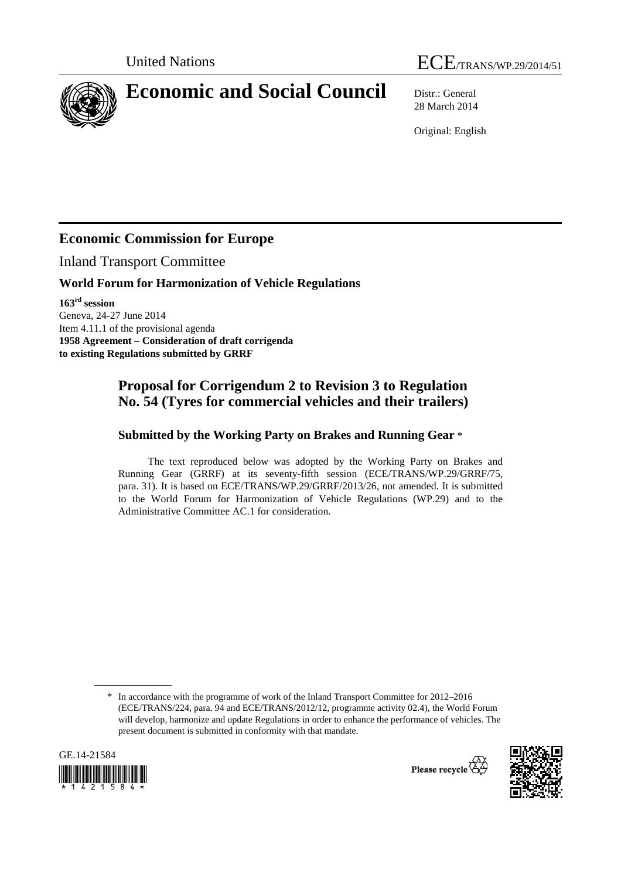



# **Economic and Social Council** Distr.: General

28 March 2014

Original: English

## **Economic Commission for Europe**

Inland Transport Committee

#### **World Forum for Harmonization of Vehicle Regulations**

**163rd session**  Geneva, 24-27 June 2014 Item 4.11.1 of the provisional agenda **1958 Agreement – Consideration of draft corrigenda to existing Regulations submitted by GRRF** 

### **Proposal for Corrigendum 2 to Revision 3 to Regulation No. 54 (Tyres for commercial vehicles and their trailers)**

#### **Submitted by the Working Party on Brakes and Running Gear** \*

The text reproduced below was adopted by the Working Party on Brakes and Running Gear (GRRF) at its seventy-fifth session (ECE/TRANS/WP.29/GRRF/75, para. 31). It is based on ECE/TRANS/WP.29/GRRF/2013/26, not amended. It is submitted to the World Forum for Harmonization of Vehicle Regulations (WP.29) and to the Administrative Committee AC.1 for consideration.

<sup>\*</sup> In accordance with the programme of work of the Inland Transport Committee for 2012–2016 (ECE/TRANS/224, para. 94 and ECE/TRANS/2012/12, programme activity 02.4), the World Forum will develop, harmonize and update Regulations in order to enhance the performance of vehicles. The present document is submitted in conformity with that mandate.



Please recycle  $\overleftrightarrow{C}$